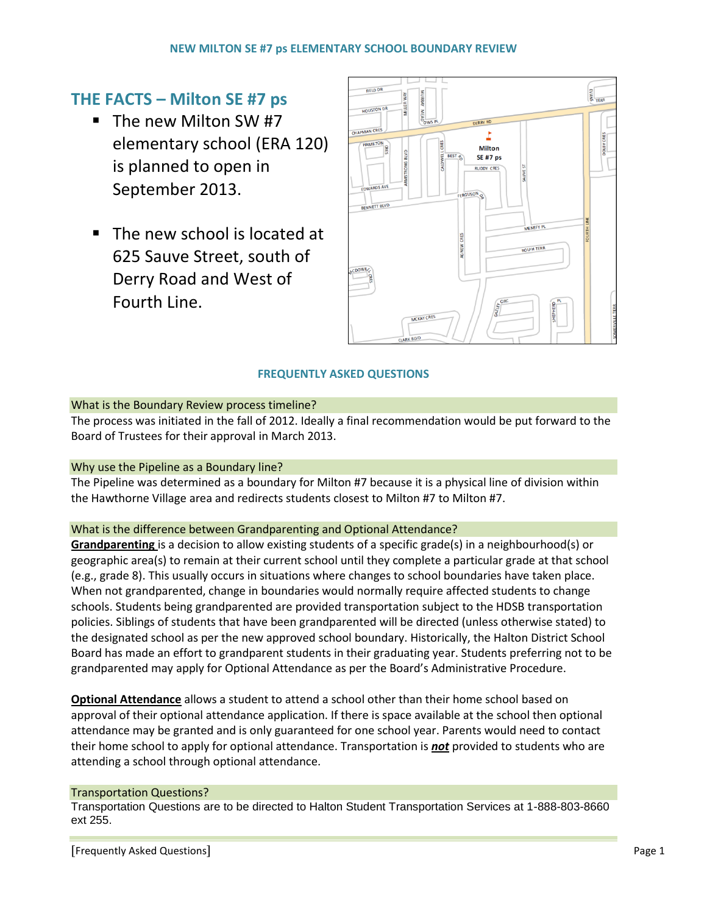# **THE FACTS – Milton SE #7 ps**

- The new Milton SW #7 elementary school (ERA 120) is planned to open in September 2013.
- The new school is located at 625 Sauve Street, south of Derry Road and West of Fourth Line.



## **FREQUENTLY ASKED QUESTIONS**

## What is the Boundary Review process timeline?

The process was initiated in the fall of 2012. Ideally a final recommendation would be put forward to the Board of Trustees for their approval in March 2013.

## Why use the Pipeline as a Boundary line?

The Pipeline was determined as a boundary for Milton #7 because it is a physical line of division within the Hawthorne Village area and redirects students closest to Milton #7 to Milton #7.

## What is the difference between Grandparenting and Optional Attendance?

**Grandparenting** is a decision to allow existing students of a specific grade(s) in a neighbourhood(s) or geographic area(s) to remain at their current school until they complete a particular grade at that school (e.g., grade 8). This usually occurs in situations where changes to school boundaries have taken place. When not grandparented, change in boundaries would normally require affected students to change schools. Students being grandparented are provided transportation subject to the HDSB transportation policies. Siblings of students that have been grandparented will be directed (unless otherwise stated) to the designated school as per the new approved school boundary. Historically, the Halton District School Board has made an effort to grandparent students in their graduating year. Students preferring not to be grandparented may apply for Optional Attendance as per the Board's Administrative Procedure.

**Optional Attendance** allows a student to attend a school other than their home school based on approval of their optional attendance application. If there is space available at the school then optional attendance may be granted and is only guaranteed for one school year. Parents would need to contact their home school to apply for optional attendance. Transportation is *not* provided to students who are attending a school through optional attendance.

## Transportation Questions?

Transportation Questions are to be directed to Halton Student Transportation Services at 1-888-803-8660 ext 255.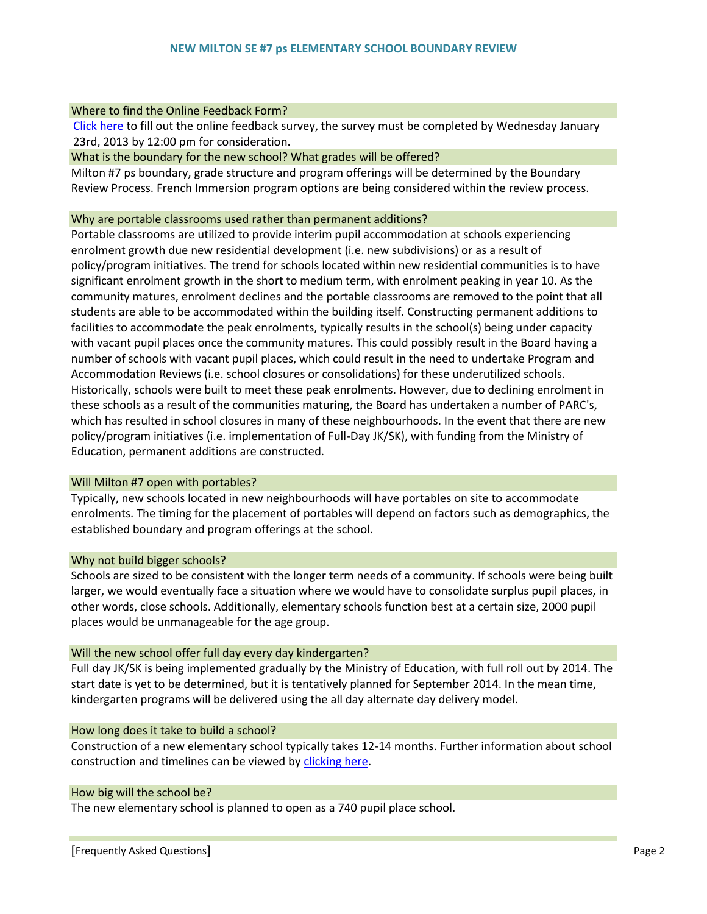#### Where to find the Online Feedback Form?

 Click here [to fill out the online feedback survey, the survey must be completed by Wednesday January](http://checkbox.hdsb.ca/Survey.aspx?surveyid=2061)  23rd, 2013 by 12:00 pm for consideration.

#### What is the boundary for the new school? What grades will be offered?

Milton #7 ps boundary, grade structure and program offerings will be determined by the Boundary Review Process. French Immersion program options are being considered within the review process.

#### Why are portable classrooms used rather than permanent additions?

Portable classrooms are utilized to provide interim pupil accommodation at schools experiencing enrolment growth due new residential development (i.e. new subdivisions) or as a result of policy/program initiatives. The trend for schools located within new residential communities is to have significant enrolment growth in the short to medium term, with enrolment peaking in year 10. As the community matures, enrolment declines and the portable classrooms are removed to the point that all students are able to be accommodated within the building itself. Constructing permanent additions to facilities to accommodate the peak enrolments, typically results in the school(s) being under capacity with vacant pupil places once the community matures. This could possibly result in the Board having a number of schools with vacant pupil places, which could result in the need to undertake Program and Accommodation Reviews (i.e. school closures or consolidations) for these underutilized schools. Historically, schools were built to meet these peak enrolments. However, due to declining enrolment in these schools as a result of the communities maturing, the Board has undertaken a number of PARC's, which has resulted in school closures in many of these neighbourhoods. In the event that there are new policy/program initiatives (i.e. implementation of Full-Day JK/SK), with funding from the Ministry of Education, permanent additions are constructed.

#### Will Milton #7 open with portables?

Typically, new schools located in new neighbourhoods will have portables on site to accommodate enrolments. The timing for the placement of portables will depend on factors such as demographics, the established boundary and program offerings at the school.

#### Why not build bigger schools?

Schools are sized to be consistent with the longer term needs of a community. If schools were being built larger, we would eventually face a situation where we would have to consolidate surplus pupil places, in other words, close schools. Additionally, elementary schools function best at a certain size, 2000 pupil places would be unmanageable for the age group.

#### Will the new school offer full day every day kindergarten?

Full day JK/SK is being implemented gradually by the Ministry of Education, with full roll out by 2014. The start date is yet to be determined, but it is tentatively planned for September 2014. In the mean time, kindergarten programs will be delivered using the all day alternate day delivery model.

#### How long does it take to build a school?

Construction of a new elementary school typically takes 12-14 months. Further information about school construction and timelines can be viewed by [clicking here.](http://www.hdsb.ca/aboutus/FacilityServices/Documents/TypicaElementarylSchoolScheduleJUNE10.pdf)

#### How big will the school be?

The new elementary school is planned to open as a 740 pupil place school.